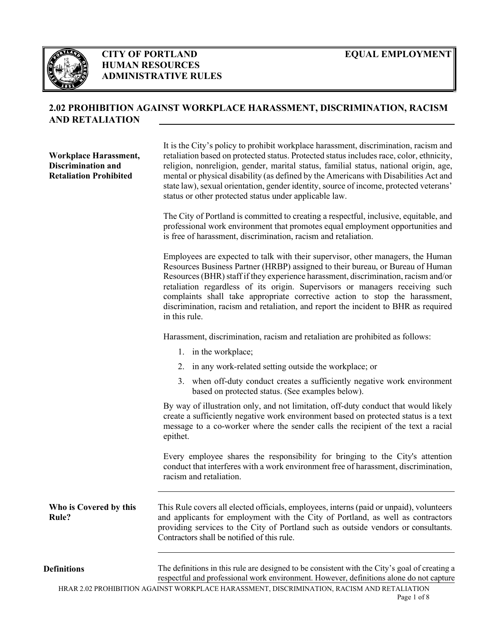

# **CITY OF PORTLAND HUMAN RESOURCES ADMINISTRATIVE RULES**

# **2.02 PROHIBITION AGAINST WORKPLACE HARASSMENT, DISCRIMINATION, RACISM AND RETALIATION**

**Workplace Harassment, Discrimination and Retaliation Prohibited**

It is the City's policy to prohibit workplace harassment, discrimination, racism and retaliation based on protected status. Protected status includes race, color, ethnicity, religion, nonreligion, gender, marital status, familial status, national origin, age, mental or physical disability (as defined by the Americans with Disabilities Act and state law), sexual orientation, gender identity, source of income, protected veterans' status or other protected status under applicable law.

The City of Portland is committed to creating a respectful, inclusive, equitable, and professional work environment that promotes equal employment opportunities and is free of harassment, discrimination, racism and retaliation.

Employees are expected to talk with their supervisor, other managers, the Human Resources Business Partner (HRBP) assigned to their bureau, or Bureau of Human Resources (BHR) staff if they experience harassment, discrimination, racism and/or retaliation regardless of its origin. Supervisors or managers receiving such complaints shall take appropriate corrective action to stop the harassment, discrimination, racism and retaliation, and report the incident to BHR as required in this rule.

Harassment, discrimination, racism and retaliation are prohibited as follows:

- 1. in the workplace;
- 2. in any work-related setting outside the workplace; or
- 3. when off-duty conduct creates a sufficiently negative work environment based on protected status. (See examples below).

By way of illustration only, and not limitation, off-duty conduct that would likely create a sufficiently negative work environment based on protected status is a text message to a co-worker where the sender calls the recipient of the text a racial epithet.

Every employee shares the responsibility for bringing to the City's attention conduct that interferes with a work environment free of harassment, discrimination, racism and retaliation.

**Who is Covered by this Rule?** This Rule covers all elected officials, employees, interns (paid or unpaid), volunteers and applicants for employment with the City of Portland, as well as contractors providing services to the City of Portland such as outside vendors or consultants. Contractors shall be notified of this rule.

**Definitions** The definitions in this rule are designed to be consistent with the City's goal of creating a respectful and professional work environment. However, definitions alone do not capture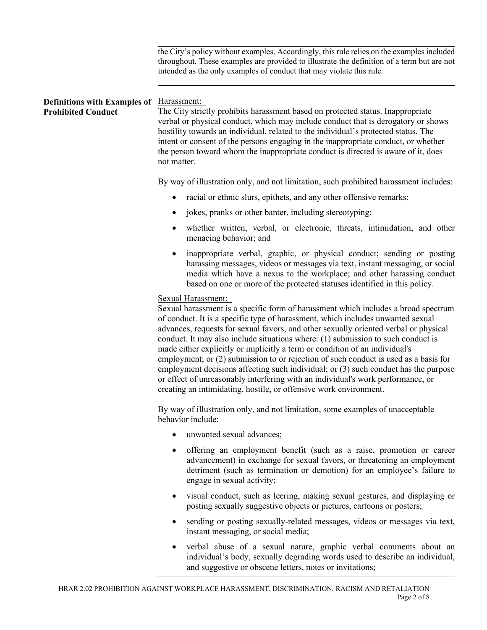the City's policy without examples. Accordingly, this rule relies on the examples included throughout. These examples are provided to illustrate the definition of a term but are not intended as the only examples of conduct that may violate this rule. **Definitions with Examples of**  Harassment: **Prohibited Conduct** The City strictly prohibits harassment based on protected status. Inappropriate verbal or physical conduct, which may include conduct that is derogatory or shows hostility towards an individual, related to the individual's protected status. The intent or consent of the persons engaging in the inappropriate conduct, or whether the person toward whom the inappropriate conduct is directed is aware of it, does not matter. By way of illustration only, and not limitation, such prohibited harassment includes: racial or ethnic slurs, epithets, and any other offensive remarks; • jokes, pranks or other banter, including stereotyping; whether written, verbal, or electronic, threats, intimidation, and other menacing behavior; and inappropriate verbal, graphic, or physical conduct; sending or posting harassing messages, videos or messages via text, instant messaging, or social media which have a nexus to the workplace; and other harassing conduct based on one or more of the protected statuses identified in this policy. Sexual Harassment: Sexual harassment is a specific form of harassment which includes a broad spectrum of conduct. It is a specific type of harassment, which includes unwanted sexual advances, requests for sexual favors, and other sexually oriented verbal or physical conduct. It may also include situations where: (1) submission to such conduct is made either explicitly or implicitly a term or condition of an individual's employment; or (2) submission to or rejection of such conduct is used as a basis for employment decisions affecting such individual; or (3) such conduct has the purpose or effect of unreasonably interfering with an individual's work performance, or creating an intimidating, hostile, or offensive work environment. By way of illustration only, and not limitation, some examples of unacceptable behavior include: unwanted sexual advances: • offering an employment benefit (such as a raise, promotion or career advancement) in exchange for sexual favors, or threatening an employment detriment (such as termination or demotion) for an employee's failure to engage in sexual activity; • visual conduct, such as leering, making sexual gestures, and displaying or posting sexually suggestive objects or pictures, cartoons or posters; sending or posting sexually-related messages, videos or messages via text, instant messaging, or social media; • verbal abuse of a sexual nature, graphic verbal comments about an individual's body, sexually degrading words used to describe an individual,

and suggestive or obscene letters, notes or invitations;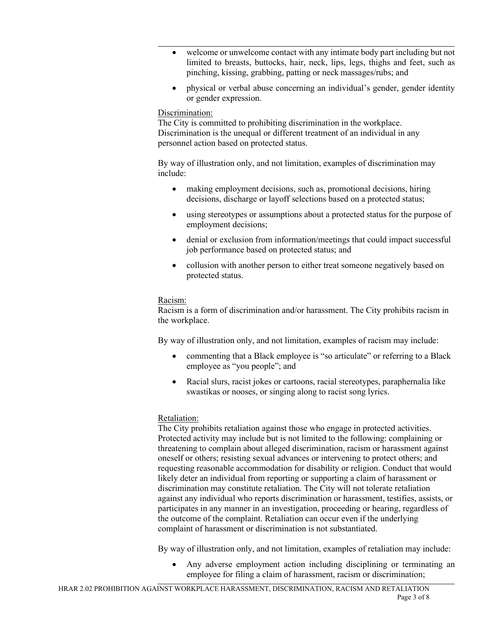- welcome or unwelcome contact with any intimate body part including but not limited to breasts, buttocks, hair, neck, lips, legs, thighs and feet, such as pinching, kissing, grabbing, patting or neck massages/rubs; and
- physical or verbal abuse concerning an individual's gender, gender identity or gender expression.

## Discrimination:

The City is committed to prohibiting discrimination in the workplace. Discrimination is the unequal or different treatment of an individual in any personnel action based on protected status.

By way of illustration only, and not limitation, examples of discrimination may include:

- making employment decisions, such as, promotional decisions, hiring decisions, discharge or layoff selections based on a protected status;
- using stereotypes or assumptions about a protected status for the purpose of employment decisions;
- denial or exclusion from information/meetings that could impact successful job performance based on protected status; and
- collusion with another person to either treat someone negatively based on protected status.

### Racism:

Racism is a form of discrimination and/or harassment. The City prohibits racism in the workplace.

By way of illustration only, and not limitation, examples of racism may include:

- commenting that a Black employee is "so articulate" or referring to a Black employee as "you people"; and
- Racial slurs, racist jokes or cartoons, racial stereotypes, paraphernalia like swastikas or nooses, or singing along to racist song lyrics.

### Retaliation:

The City prohibits retaliation against those who engage in protected activities. Protected activity may include but is not limited to the following: complaining or threatening to complain about alleged discrimination, racism or harassment against oneself or others; resisting sexual advances or intervening to protect others; and requesting reasonable accommodation for disability or religion. Conduct that would likely deter an individual from reporting or supporting a claim of harassment or discrimination may constitute retaliation. The City will not tolerate retaliation against any individual who reports discrimination or harassment, testifies, assists, or participates in any manner in an investigation, proceeding or hearing, regardless of the outcome of the complaint. Retaliation can occur even if the underlying complaint of harassment or discrimination is not substantiated.

By way of illustration only, and not limitation, examples of retaliation may include:

• Any adverse employment action including disciplining or terminating an employee for filing a claim of harassment, racism or discrimination;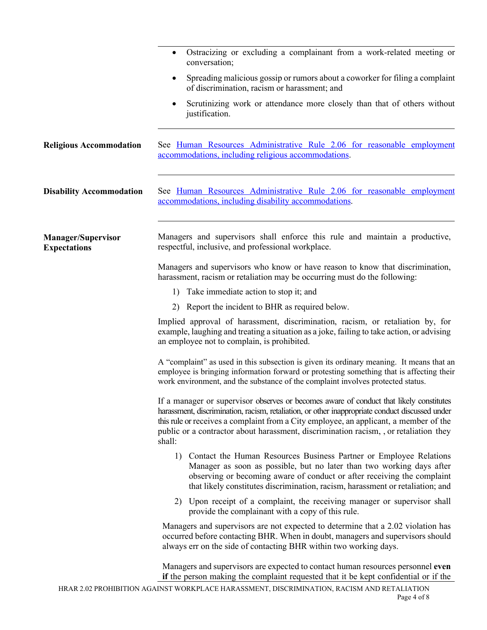|                                                  | Ostracizing or excluding a complainant from a work-related meeting or<br>$\bullet$<br>conversation;                                                                                                                                                                                                                                                                                    |
|--------------------------------------------------|----------------------------------------------------------------------------------------------------------------------------------------------------------------------------------------------------------------------------------------------------------------------------------------------------------------------------------------------------------------------------------------|
|                                                  | Spreading malicious gossip or rumors about a coworker for filing a complaint<br>of discrimination, racism or harassment; and                                                                                                                                                                                                                                                           |
|                                                  | Scrutinizing work or attendance more closely than that of others without<br>justification.                                                                                                                                                                                                                                                                                             |
| <b>Religious Accommodation</b>                   | See <u>Human Resources Administrative Rule 2.06</u> for reasonable employment<br>accommodations, including religious accommodations.                                                                                                                                                                                                                                                   |
| <b>Disability Accommodation</b>                  | See Human Resources Administrative Rule 2.06 for reasonable employment<br>accommodations, including disability accommodations.                                                                                                                                                                                                                                                         |
| <b>Manager/Supervisor</b><br><b>Expectations</b> | Managers and supervisors shall enforce this rule and maintain a productive,<br>respectful, inclusive, and professional workplace.                                                                                                                                                                                                                                                      |
|                                                  | Managers and supervisors who know or have reason to know that discrimination,<br>harassment, racism or retaliation may be occurring must do the following:                                                                                                                                                                                                                             |
|                                                  | Take immediate action to stop it; and<br>1)                                                                                                                                                                                                                                                                                                                                            |
|                                                  | 2) Report the incident to BHR as required below.                                                                                                                                                                                                                                                                                                                                       |
|                                                  | Implied approval of harassment, discrimination, racism, or retaliation by, for<br>example, laughing and treating a situation as a joke, failing to take action, or advising<br>an employee not to complain, is prohibited.                                                                                                                                                             |
|                                                  | A "complaint" as used in this subsection is given its ordinary meaning. It means that an<br>employee is bringing information forward or protesting something that is affecting their<br>work environment, and the substance of the complaint involves protected status.                                                                                                                |
|                                                  | If a manager or supervisor observes or becomes aware of conduct that likely constitutes<br>harassment, discrimination, racism, retaliation, or other inappropriate conduct discussed under<br>this rule or receives a complaint from a City employee, an applicant, a member of the<br>public or a contractor about harassment, discrimination racism, , or retaliation they<br>shall: |
|                                                  | Contact the Human Resources Business Partner or Employee Relations<br>1)<br>Manager as soon as possible, but no later than two working days after<br>observing or becoming aware of conduct or after receiving the complaint<br>that likely constitutes discrimination, racism, harassment or retaliation; and                                                                         |
|                                                  | 2) Upon receipt of a complaint, the receiving manager or supervisor shall<br>provide the complainant with a copy of this rule.                                                                                                                                                                                                                                                         |
|                                                  | Managers and supervisors are not expected to determine that a 2.02 violation has<br>occurred before contacting BHR. When in doubt, managers and supervisors should<br>always err on the side of contacting BHR within two working days.                                                                                                                                                |
|                                                  | Managers and supervisors are expected to contact human resources personnel even<br>if the person making the complaint requested that it be kept confidential or if the                                                                                                                                                                                                                 |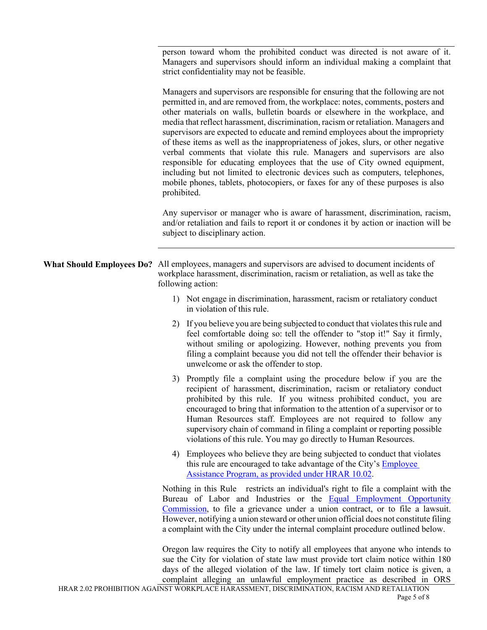person toward whom the prohibited conduct was directed is not aware of it. Managers and supervisors should inform an individual making a complaint that strict confidentiality may not be feasible.

Managers and supervisors are responsible for ensuring that the following are not permitted in, and are removed from, the workplace: notes, comments, posters and other materials on walls, bulletin boards or elsewhere in the workplace, and media that reflect harassment, discrimination, racism or retaliation. Managers and supervisors are expected to educate and remind employees about the impropriety of these items as well as the inappropriateness of jokes, slurs, or other negative verbal comments that violate this rule. Managers and supervisors are also responsible for educating employees that the use of City owned equipment, including but not limited to electronic devices such as computers, telephones, mobile phones, tablets, photocopiers, or faxes for any of these purposes is also prohibited.

Any supervisor or manager who is aware of harassment, discrimination, racism, and/or retaliation and fails to report it or condones it by action or inaction will be subject to disciplinary action.

**What Should Employees Do?** All employees, managers and supervisors are advised to document incidents of workplace harassment, discrimination, racism or retaliation, as well as take the following action:

- 1) Not engage in discrimination, harassment, racism or retaliatory conduct in violation of this rule.
- 2) If you believe you are being subjected to conduct that violates this rule and feel comfortable doing so: tell the offender to "stop it!" Say it firmly, without smiling or apologizing. However, nothing prevents you from filing a complaint because you did not tell the offender their behavior is unwelcome or ask the offender to stop.
- 3) Promptly file a complaint using the procedure below if you are the recipient of harassment, discrimination, racism or retaliatory conduct prohibited by this rule. If you witness prohibited conduct, you are encouraged to bring that information to the attention of a supervisor or to Human Resources staff. Employees are not required to follow any supervisory chain of command in filing a complaint or reporting possible violations of this rule. You may go directly to Human Resources.
- 4) Employees who believe they are being subjected to conduct that violates this rule are encouraged to take advantage of the City's **Employee** [Assistance Program, as provided under HRAR 10.02.](https://www.portlandoregon.gov/citycode/article/12006)

Nothing in this Rule restricts an individual's right to file a complaint with the Bureau of Labor and Industries or the **[Equal Employment Opportunity](http://www.eeoc.gov/)** [Commission, t](http://www.eeoc.gov/)o file a grievance under a union contract, or to file a lawsuit. However, notifying a union steward or other union official does not constitute filing a complaint with the City under the internal complaint procedure outlined below.

Oregon law requires the City to notify all employees that anyone who intends to sue the City for violation of state law must provide tort claim notice within 180 days of the alleged violation of the law. If timely tort claim notice is given, a complaint alleging an unlawful employment practice as described in ORS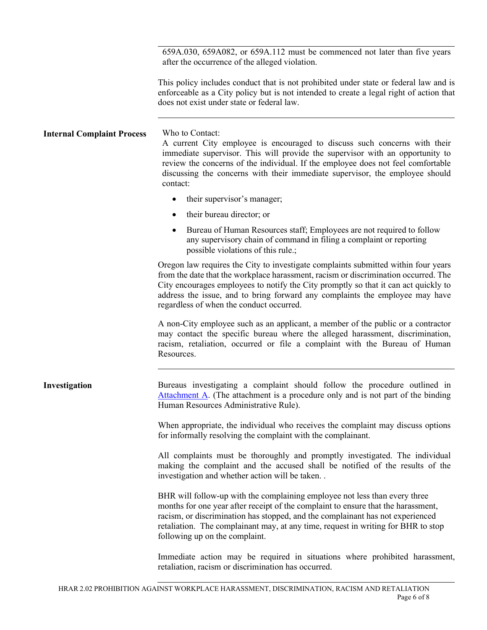659A.030, 659A082, or 659A.112 must be commenced not later than five years after the occurrence of the alleged violation.

This policy includes conduct that is not prohibited under state or federal law and is enforceable as a City policy but is not intended to create a legal right of action that does not exist under state or federal law.

**Internal Complaint Process** Who to Contact: A current City employee is encouraged to discuss such concerns with their immediate supervisor. This will provide the supervisor with an opportunity to review the concerns of the individual. If the employee does not feel comfortable discussing the concerns with their immediate supervisor, the employee should contact:

- their supervisor's manager;
- their bureau director; or
- Bureau of Human Resources staff; Employees are not required to follow any supervisory chain of command in filing a complaint or reporting possible violations of this rule.;

Oregon law requires the City to investigate complaints submitted within four years from the date that the workplace harassment, racism or discrimination occurred. The City encourages employees to notify the City promptly so that it can act quickly to address the issue, and to bring forward any complaints the employee may have regardless of when the conduct occurred.

A non-City employee such as an applicant, a member of the public or a contractor may contact the specific bureau where the alleged harassment, discrimination, racism, retaliation, occurred or file a complaint with the Bureau of Human Resources.

**Investigation** Bureaus investigating a complaint should follow the procedure outlined in [Attachment A. \(](#page--1-0)The attachment is a procedure only and is not part of the binding Human Resources Administrative Rule). When appropriate, the individual who receives the complaint may discuss options for informally resolving the complaint with the complainant. All complaints must be thoroughly and promptly investigated. The individual making the complaint and the accused shall be notified of the results of the investigation and whether action will be taken. . BHR will follow-up with the complaining employee not less than every three months for one year after receipt of the complaint to ensure that the harassment, racism, or discrimination has stopped, and the complainant has not experienced retaliation. The complainant may, at any time, request in writing for BHR to stop following up on the complaint. Immediate action may be required in situations where prohibited harassment,

retaliation, racism or discrimination has occurred.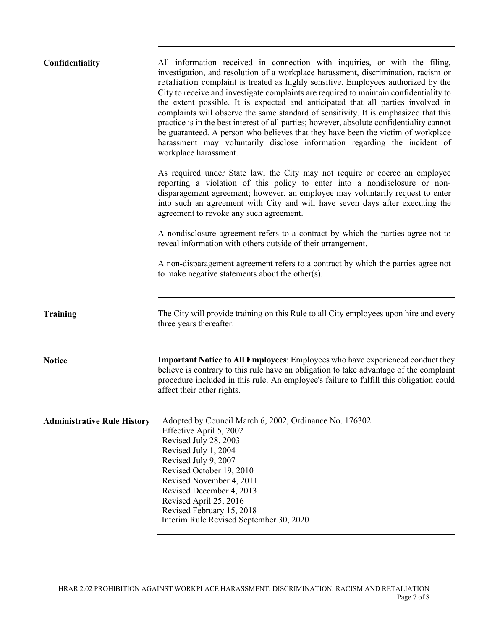| Confidentiality                    | All information received in connection with inquiries, or with the filing,<br>investigation, and resolution of a workplace harassment, discrimination, racism or<br>retaliation complaint is treated as highly sensitive. Employees authorized by the<br>City to receive and investigate complaints are required to maintain confidentiality to<br>the extent possible. It is expected and anticipated that all parties involved in<br>complaints will observe the same standard of sensitivity. It is emphasized that this<br>practice is in the best interest of all parties; however, absolute confidentiality cannot<br>be guaranteed. A person who believes that they have been the victim of workplace<br>harassment may voluntarily disclose information regarding the incident of<br>workplace harassment. |
|------------------------------------|--------------------------------------------------------------------------------------------------------------------------------------------------------------------------------------------------------------------------------------------------------------------------------------------------------------------------------------------------------------------------------------------------------------------------------------------------------------------------------------------------------------------------------------------------------------------------------------------------------------------------------------------------------------------------------------------------------------------------------------------------------------------------------------------------------------------|
|                                    | As required under State law, the City may not require or coerce an employee<br>reporting a violation of this policy to enter into a nondisclosure or non-<br>disparagement agreement; however, an employee may voluntarily request to enter<br>into such an agreement with City and will have seven days after executing the<br>agreement to revoke any such agreement.                                                                                                                                                                                                                                                                                                                                                                                                                                            |
|                                    | A nondisclosure agreement refers to a contract by which the parties agree not to<br>reveal information with others outside of their arrangement.                                                                                                                                                                                                                                                                                                                                                                                                                                                                                                                                                                                                                                                                   |
|                                    | A non-disparagement agreement refers to a contract by which the parties agree not<br>to make negative statements about the other(s).                                                                                                                                                                                                                                                                                                                                                                                                                                                                                                                                                                                                                                                                               |
| <b>Training</b>                    | The City will provide training on this Rule to all City employees upon hire and every<br>three years thereafter.                                                                                                                                                                                                                                                                                                                                                                                                                                                                                                                                                                                                                                                                                                   |
| <b>Notice</b>                      | <b>Important Notice to All Employees:</b> Employees who have experienced conduct they<br>believe is contrary to this rule have an obligation to take advantage of the complaint<br>procedure included in this rule. An employee's failure to fulfill this obligation could<br>affect their other rights.                                                                                                                                                                                                                                                                                                                                                                                                                                                                                                           |
| <b>Administrative Rule History</b> | Adopted by Council March 6, 2002, Ordinance No. 176302<br>Effective April 5, 2002<br>Revised July 28, 2003<br>Revised July 1, 2004<br>Revised July 9, 2007<br>Revised October 19, 2010<br>Revised November 4, 2011<br>Revised December 4, 2013<br>Revised April 25, 2016<br>Revised February 15, 2018<br>Interim Rule Revised September 30, 2020                                                                                                                                                                                                                                                                                                                                                                                                                                                                   |